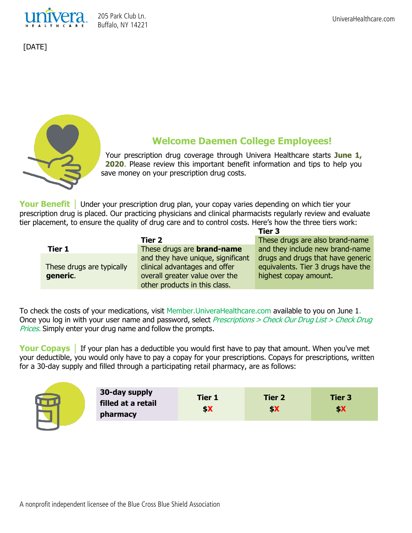

205 Park Club Ln. Buffalo, NY 14221

[DATE]



## **Welcome Daemen College Employees!**

Your prescription drug coverage through Univera Healthcare starts **June 1, 2020**. Please review this important benefit information and tips to help you save money on your prescription drug costs.

**Your Benefit** | Under your prescription drug plan, your copay varies depending on which tier your prescription drug is placed. Our practicing physicians and clinical pharmacists regularly review and evaluate tier placement, to ensure the quality of drug care and to control costs. Here's how the three tiers work: **Tier 3**

|                           | Tier 2                            | These drugs are also brand-name    |
|---------------------------|-----------------------------------|------------------------------------|
| Tier 1                    | These drugs are <b>brand-name</b> | and they include new brand-name    |
|                           | and they have unique, significant | drugs and drugs that have generic  |
| These drugs are typically | clinical advantages and offer     | equivalents. Tier 3 drugs have the |
| generic.                  | overall greater value over the    | highest copay amount.              |
|                           | other products in this class.     |                                    |

To check the costs of your medications, visit Member.UniveraHealthcare.com available to you on June 1. Once you log in with your user name and password, select Prescriptions > Check Our Drug List > Check Drug Prices. Simply enter your drug name and follow the prompts.

**Your Copays** | If your plan has a deductible you would first have to pay that amount. When you've met your deductible, you would only have to pay a copay for your prescriptions. Copays for prescriptions, written for a 30-day supply and filled through a participating retail pharmacy, are as follows:

|  |  | 30-day supply<br>filled at a retail<br>pharmacy | <b>Tier 1</b><br>\$X | Tier 2<br>\$Χ | <b>Tier 3</b><br>5Х |  |
|--|--|-------------------------------------------------|----------------------|---------------|---------------------|--|
|--|--|-------------------------------------------------|----------------------|---------------|---------------------|--|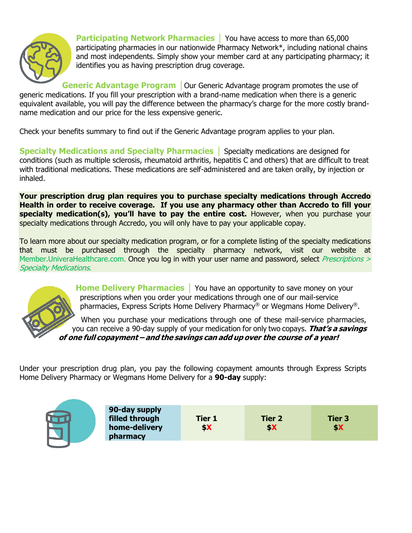

**Participating Network Pharmacies** | You have access to more than 65,000 participating pharmacies in our nationwide Pharmacy Network\*, including national chains and most independents. Simply show your member card at any participating pharmacy; it identifies you as having prescription drug coverage.

**Generic Advantage Program** | Our Generic Advantage program promotes the use of generic medications. If you fill your prescription with a brand-name medication when there is a generic equivalent available, you will pay the difference between the pharmacy's charge for the more costly brandname medication and our price for the less expensive generic.

Check your benefits summary to find out if the Generic Advantage program applies to your plan.

**Specialty Medications and Specialty Pharmacies | Specialty medications are designed for** conditions (such as multiple sclerosis, rheumatoid arthritis, hepatitis C and others) that are difficult to treat with traditional medications. These medications are self-administered and are taken orally, by injection or inhaled.

**Your prescription drug plan requires you to purchase specialty medications through Accredo Health in order to receive coverage. If you use any pharmacy other than Accredo to fill your**  specialty medication(s), you'll have to pay the entire cost. However, when you purchase your specialty medications through Accredo, you will only have to pay your applicable copay.

To learn more about our specialty medication program, or for a complete listing of the specialty medications that must be purchased through the specialty pharmacy network, visit our website at Member.UniveraHealthcare.com. Once you log in with your user name and password, select Prescriptions > Specialty Medications.



**Home Delivery Pharmacies** | You have an opportunity to save money on your prescriptions when you order your medications through one of our mail-service pharmacies, Express Scripts Home Delivery Pharmacy® or Wegmans Home Delivery®.

When you purchase your medications through one of these mail-service pharmacies, you can receive a 90-day supply of your medication for only two copays. **That's <sup>a</sup> savings of one full copayment – and the savings can add up over the course of a year!**

Under your prescription drug plan, you pay the following copayment amounts through Express Scripts Home Delivery Pharmacy or Wegmans Home Delivery for a **90-day** supply:



| 90-day supply<br>filled through | <b>Tier 1</b> | <b>Tier 2</b> | Tier 3 |
|---------------------------------|---------------|---------------|--------|
| home-delivery<br>pharmacy       | <b>\$X</b>    | \$Χ           | \$Χ    |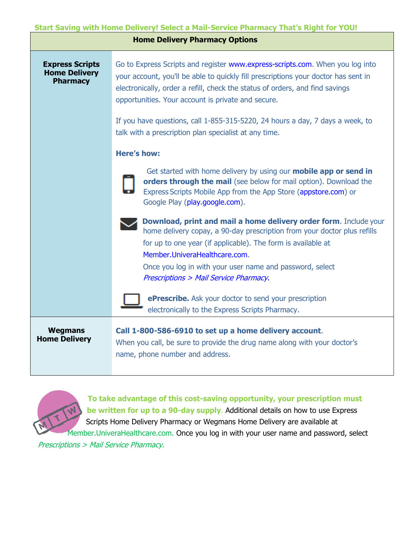|  | Start Saving with Home Delivery! Select a Mail-Service Pharmacy That's Right for YOU! |  |
|--|---------------------------------------------------------------------------------------|--|
|--|---------------------------------------------------------------------------------------|--|

## **Home Delivery Pharmacy Options**

| <b>Express Scripts</b><br><b>Home Delivery</b><br><b>Pharmacy</b> | Go to Express Scripts and register www.express-scripts.com. When you log into<br>your account, you'll be able to quickly fill prescriptions your doctor has sent in<br>electronically, order a refill, check the status of orders, and find savings<br>opportunities. Your account is private and secure.<br>If you have questions, call 1-855-315-5220, 24 hours a day, 7 days a week, to<br>talk with a prescription plan specialist at any time.<br><b>Here's how:</b> |  |
|-------------------------------------------------------------------|---------------------------------------------------------------------------------------------------------------------------------------------------------------------------------------------------------------------------------------------------------------------------------------------------------------------------------------------------------------------------------------------------------------------------------------------------------------------------|--|
|                                                                   | Get started with home delivery by using our <b>mobile app or send in</b><br>orders through the mail (see below for mail option). Download the<br>Express Scripts Mobile App from the App Store (appstore.com) or<br>Google Play (play.google.com).                                                                                                                                                                                                                        |  |
|                                                                   | Download, print and mail a home delivery order form. Include your<br>home delivery copay, a 90-day prescription from your doctor plus refills<br>for up to one year (if applicable). The form is available at<br>Member.UniveraHealthcare.com.<br>Once you log in with your user name and password, select<br>Prescriptions > Mail Service Pharmacy.                                                                                                                      |  |
|                                                                   | <b>ePrescribe.</b> Ask your doctor to send your prescription<br>electronically to the Express Scripts Pharmacy.                                                                                                                                                                                                                                                                                                                                                           |  |
| <b>Wegmans</b><br><b>Home Delivery</b>                            | Call 1-800-586-6910 to set up a home delivery account.<br>When you call, be sure to provide the drug name along with your doctor's<br>name, phone number and address.                                                                                                                                                                                                                                                                                                     |  |



**To take advantage of this cost-saving opportunity, your prescription must be written for up to a 90-day supply**. Additional details on how to use Express Scripts Home Delivery Pharmacy or Wegmans Home Delivery are available at

Member.UniveraHealthcare.com. Once you log in with your user name and password, select Prescriptions > Mail Service Pharmacy.